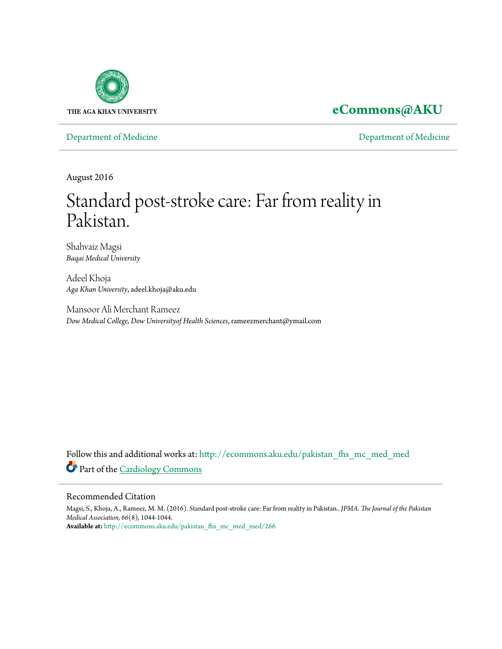

## **[eCommons@AKU](http://ecommons.aku.edu?utm_source=ecommons.aku.edu%2Fpakistan_fhs_mc_med_med%2F266&utm_medium=PDF&utm_campaign=PDFCoverPages)**

[Department of Medicine](http://ecommons.aku.edu/pakistan_fhs_mc_med_med?utm_source=ecommons.aku.edu%2Fpakistan_fhs_mc_med_med%2F266&utm_medium=PDF&utm_campaign=PDFCoverPages) [Department of Medicine](http://ecommons.aku.edu/pakistan_fhs_mc_med?utm_source=ecommons.aku.edu%2Fpakistan_fhs_mc_med_med%2F266&utm_medium=PDF&utm_campaign=PDFCoverPages)

August 2016

# Standard post-stroke care: Far from reality in Pakistan.

Shahvaiz Magsi *Baqai Medical University*

Adeel Khoja *Aga Khan University*, adeel.khoja@aku.edu

Mansoor Ali Merchant Rameez *Dow Medical College, Dow Universityof Health Sciences*, rameezmerchant@ymail.com

Follow this and additional works at: [http://ecommons.aku.edu/pakistan\\_fhs\\_mc\\_med\\_med](http://ecommons.aku.edu/pakistan_fhs_mc_med_med?utm_source=ecommons.aku.edu%2Fpakistan_fhs_mc_med_med%2F266&utm_medium=PDF&utm_campaign=PDFCoverPages) Part of the [Cardiology Commons](http://network.bepress.com/hgg/discipline/683?utm_source=ecommons.aku.edu%2Fpakistan_fhs_mc_med_med%2F266&utm_medium=PDF&utm_campaign=PDFCoverPages)

#### Recommended Citation

Magsi, S., Khoja, A., Rameez, M. M. (2016). Standard post-stroke care: Far from reality in Pakistan.. *JPMA. The Journal of the Pakistan Medical Association, 66*(8), 1044-1044. **Available at:** [http://ecommons.aku.edu/pakistan\\_fhs\\_mc\\_med\\_med/266](http://ecommons.aku.edu/pakistan_fhs_mc_med_med/266)